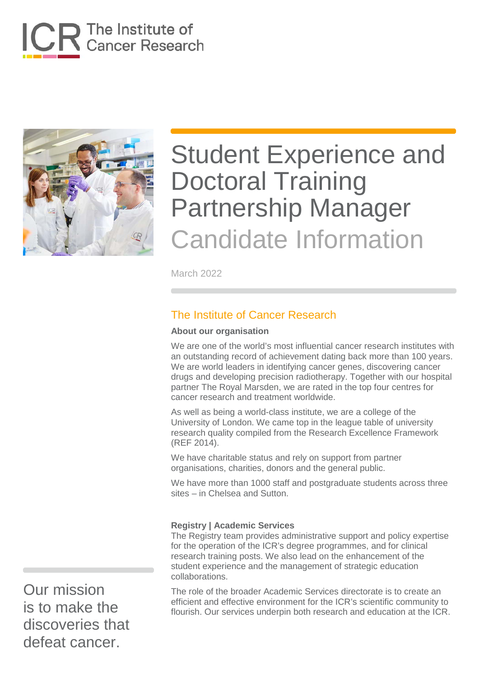



March 2022

### The Institute of Cancer Research

#### **About our organisation**

We are one of the world's most influential cancer research institutes with an outstanding record of achievement dating back more than 100 years. We are world leaders in identifying cancer genes, discovering cancer drugs and developing precision radiotherapy. Together with our hospital partner The Royal Marsden, we are rated in the top four centres for cancer research and treatment worldwide.

As well as being a world-class institute, we are a college of the University of London. We came top in the league table of university research quality compiled from the Research Excellence Framework (REF 2014).

We have charitable status and rely on support from partner organisations, charities, donors and the general public.

We have more than 1000 staff and postgraduate students across three sites – in Chelsea and Sutton.

#### **Registry | Academic Services**

The Registry team provides administrative support and policy expertise for the operation of the ICR's degree programmes, and for clinical research training posts. We also lead on the enhancement of the student experience and the management of strategic education collaborations.

The role of the broader Academic Services directorate is to create an efficient and effective environment for the ICR's scientific community to flourish. Our services underpin both research and education at the ICR.

Our mission is to make the discoveries that defeat cancer.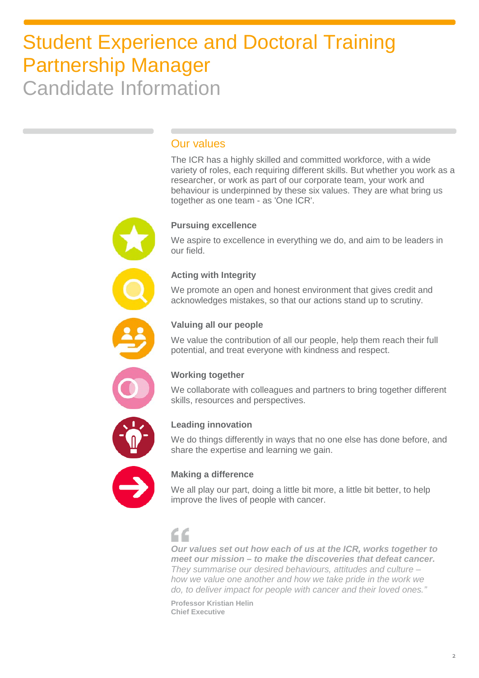### Our values

The ICR has a highly skilled and committed workforce, with a wide variety of roles, each requiring different skills. But whether you work as a researcher, or work as part of our corporate team, your work and behaviour is underpinned by these six values. They are what bring us together as one team - as 'One ICR'.

### **Pursuing excellence**

We aspire to excellence in everything we do, and aim to be leaders in our field.

#### **Acting with Integrity**

We promote an open and honest environment that gives credit and acknowledges mistakes, so that our actions stand up to scrutiny.



#### **Valuing all our people**

We value the contribution of all our people, help them reach their full potential, and treat everyone with kindness and respect.



#### **Working together**

We collaborate with colleagues and partners to bring together different skills, resources and perspectives.



#### **Leading innovation**

We do things differently in ways that no one else has done before, and share the expertise and learning we gain.



#### **Making a difference**

We all play our part, doing a little bit more, a little bit better, to help improve the lives of people with cancer.

### $\epsilon$

*Our values set out how each of us at the ICR, works together to meet our mission – to make the discoveries that defeat cancer. They summarise our desired behaviours, attitudes and culture – how we value one another and how we take pride in the work we do, to deliver impact for people with cancer and their loved ones."*

**Professor Kristian Helin Chief Executive**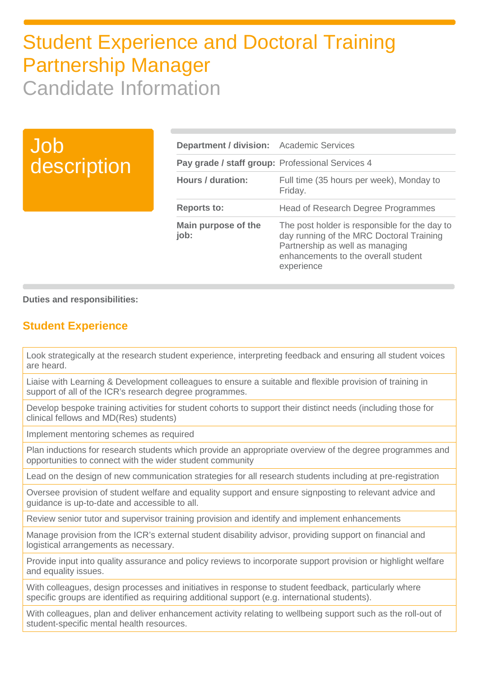## Job description

| <b>Department / division:</b> Academic Services  |                                                                                                                                                                                   |
|--------------------------------------------------|-----------------------------------------------------------------------------------------------------------------------------------------------------------------------------------|
| Pay grade / staff group: Professional Services 4 |                                                                                                                                                                                   |
| Hours / duration:                                | Full time (35 hours per week), Monday to<br>Friday.                                                                                                                               |
| <b>Reports to:</b>                               | <b>Head of Research Degree Programmes</b>                                                                                                                                         |
| Main purpose of the<br>job:                      | The post holder is responsible for the day to<br>day running of the MRC Doctoral Training<br>Partnership as well as managing<br>enhancements to the overall student<br>experience |

#### **Duties and responsibilities:**

### **Student Experience**

Look strategically at the research student experience, interpreting feedback and ensuring all student voices are heard.

Liaise with Learning & Development colleagues to ensure a suitable and flexible provision of training in support of all of the ICR's research degree programmes.

Develop bespoke training activities for student cohorts to support their distinct needs (including those for clinical fellows and MD(Res) students)

Implement mentoring schemes as required

Plan inductions for research students which provide an appropriate overview of the degree programmes and opportunities to connect with the wider student community

Lead on the design of new communication strategies for all research students including at pre-registration

Oversee provision of student welfare and equality support and ensure signposting to relevant advice and guidance is up-to-date and accessible to all.

Review senior tutor and supervisor training provision and identify and implement enhancements

Manage provision from the ICR's external student disability advisor, providing support on financial and logistical arrangements as necessary.

Provide input into quality assurance and policy reviews to incorporate support provision or highlight welfare and equality issues.

With colleagues, design processes and initiatives in response to student feedback, particularly where specific groups are identified as requiring additional support (e.g. international students).

With colleagues, plan and deliver enhancement activity relating to wellbeing support such as the roll-out of student-specific mental health resources.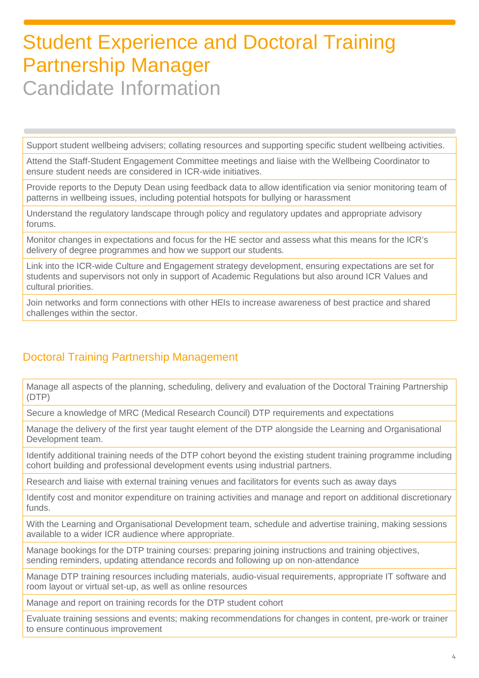Support student wellbeing advisers; collating resources and supporting specific student wellbeing activities.

Attend the Staff-Student Engagement Committee meetings and liaise with the Wellbeing Coordinator to ensure student needs are considered in ICR-wide initiatives.

Provide reports to the Deputy Dean using feedback data to allow identification via senior monitoring team of patterns in wellbeing issues, including potential hotspots for bullying or harassment

Understand the regulatory landscape through policy and regulatory updates and appropriate advisory forums.

Monitor changes in expectations and focus for the HE sector and assess what this means for the ICR's delivery of degree programmes and how we support our students.

Link into the ICR-wide Culture and Engagement strategy development, ensuring expectations are set for students and supervisors not only in support of Academic Regulations but also around ICR Values and cultural priorities.

Join networks and form connections with other HEIs to increase awareness of best practice and shared challenges within the sector.

### Doctoral Training Partnership Management

Manage all aspects of the planning, scheduling, delivery and evaluation of the Doctoral Training Partnership (DTP)

Secure a knowledge of MRC (Medical Research Council) DTP requirements and expectations

Manage the delivery of the first year taught element of the DTP alongside the Learning and Organisational Development team.

Identify additional training needs of the DTP cohort beyond the existing student training programme including cohort building and professional development events using industrial partners.

Research and liaise with external training venues and facilitators for events such as away days

Identify cost and monitor expenditure on training activities and manage and report on additional discretionary funds.

With the Learning and Organisational Development team, schedule and advertise training, making sessions available to a wider ICR audience where appropriate.

Manage bookings for the DTP training courses: preparing joining instructions and training objectives, sending reminders, updating attendance records and following up on non-attendance

Manage DTP training resources including materials, audio-visual requirements, appropriate IT software and room layout or virtual set-up, as well as online resources

Manage and report on training records for the DTP student cohort

Evaluate training sessions and events; making recommendations for changes in content, pre-work or trainer to ensure continuous improvement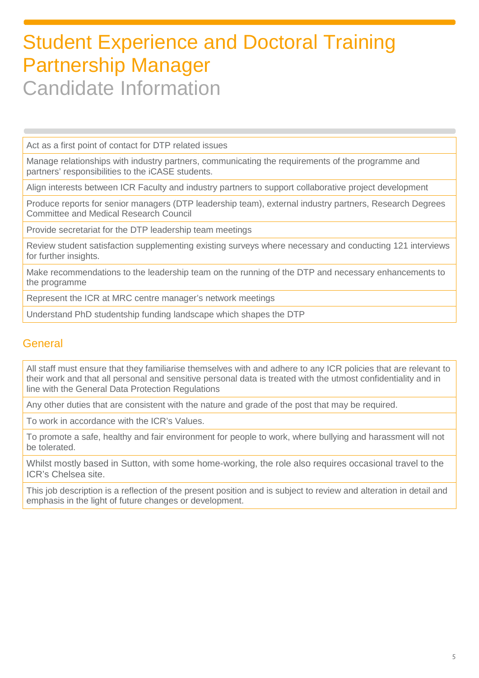Act as a first point of contact for DTP related issues

Manage relationships with industry partners, communicating the requirements of the programme and partners' responsibilities to the iCASE students.

Align interests between ICR Faculty and industry partners to support collaborative project development

Produce reports for senior managers (DTP leadership team), external industry partners, Research Degrees Committee and Medical Research Council

Provide secretariat for the DTP leadership team meetings

Review student satisfaction supplementing existing surveys where necessary and conducting 121 interviews for further insights.

Make recommendations to the leadership team on the running of the DTP and necessary enhancements to the programme

Represent the ICR at MRC centre manager's network meetings

Understand PhD studentship funding landscape which shapes the DTP

### **General**

All staff must ensure that they familiarise themselves with and adhere to any ICR policies that are relevant to their work and that all personal and sensitive personal data is treated with the utmost confidentiality and in line with the General Data Protection Regulations

Any other duties that are consistent with the nature and grade of the post that may be required.

To work in accordance with the ICR's Values.

To promote a safe, healthy and fair environment for people to work, where bullying and harassment will not be tolerated.

Whilst mostly based in Sutton, with some home-working, the role also requires occasional travel to the ICR's Chelsea site.

This job description is a reflection of the present position and is subject to review and alteration in detail and emphasis in the light of future changes or development.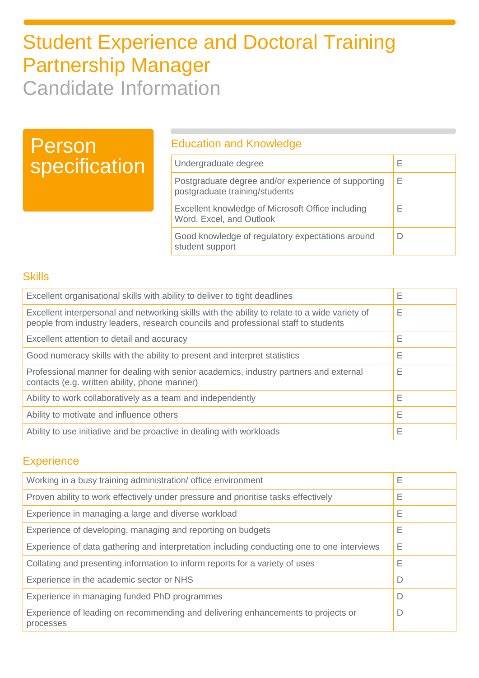# Person specification

### Education and Knowledge

| Undergraduate degree                                                                  | ⊢ |
|---------------------------------------------------------------------------------------|---|
| Postgraduate degree and/or experience of supporting<br>postgraduate training/students | Е |
| Excellent knowledge of Microsoft Office including<br>Word, Excel, and Outlook         | F |
| Good knowledge of regulatory expectations around<br>student support                   |   |

### **Skills**

| Excellent organisational skills with ability to deliver to tight deadlines                                                                                                          |   |
|-------------------------------------------------------------------------------------------------------------------------------------------------------------------------------------|---|
| Excellent interpersonal and networking skills with the ability to relate to a wide variety of<br>people from industry leaders, research councils and professional staff to students |   |
| Excellent attention to detail and accuracy                                                                                                                                          | Ε |
| Good numeracy skills with the ability to present and interpret statistics                                                                                                           | Ε |
| Professional manner for dealing with senior academics, industry partners and external<br>contacts (e.g. written ability, phone manner)                                              |   |
| Ability to work collaboratively as a team and independently                                                                                                                         | Е |
| Ability to motivate and influence others                                                                                                                                            |   |
| Ability to use initiative and be proactive in dealing with workloads                                                                                                                |   |

### **Experience**

| Working in a busy training administration/ office environment                                 |  |
|-----------------------------------------------------------------------------------------------|--|
| Proven ability to work effectively under pressure and prioritise tasks effectively            |  |
| Experience in managing a large and diverse workload                                           |  |
| Experience of developing, managing and reporting on budgets                                   |  |
| Experience of data gathering and interpretation including conducting one to one interviews    |  |
| Collating and presenting information to inform reports for a variety of uses                  |  |
| Experience in the academic sector or NHS                                                      |  |
| Experience in managing funded PhD programmes                                                  |  |
| Experience of leading on recommending and delivering enhancements to projects or<br>processes |  |